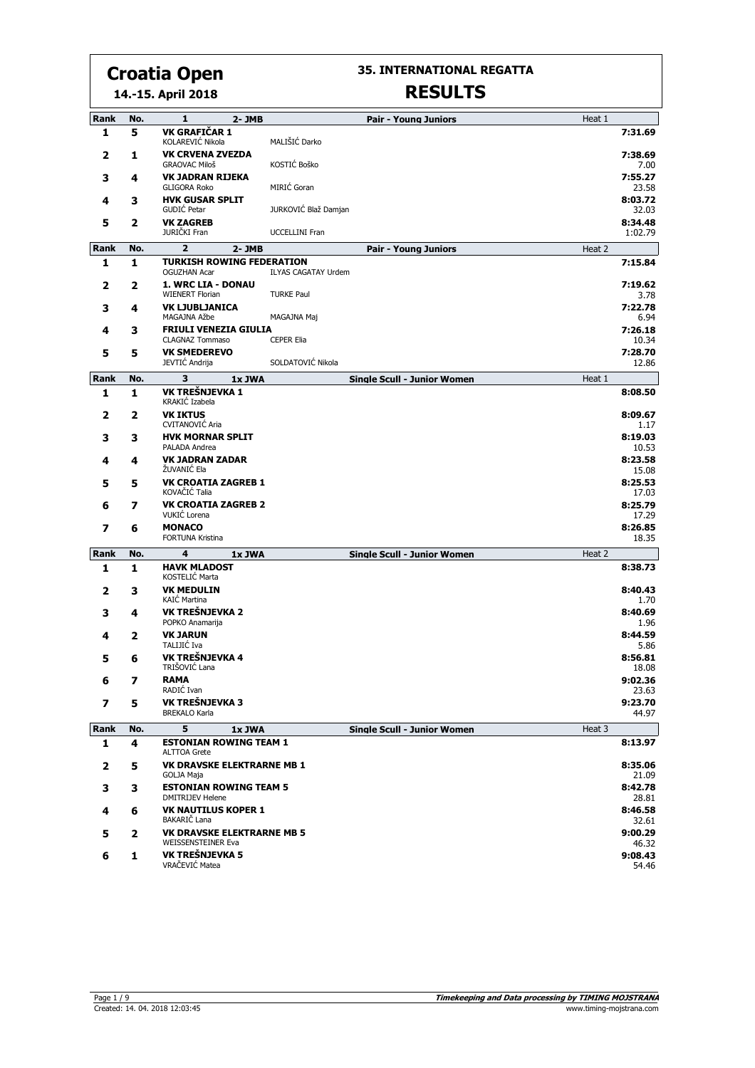**35. INTERNATIONAL REGATTA RESULTS**

|      |     | 14.-15. April 2018                                       | RESULIS                            |        |                    |
|------|-----|----------------------------------------------------------|------------------------------------|--------|--------------------|
| Rank | No. | $\mathbf{1}$<br>2-JMB                                    | <b>Pair - Young Juniors</b>        | Heat 1 |                    |
| 1    | 5   | VK GRAFIČAR 1<br>KOLAREVIĆ Nikola                        | MALIŠIĆ Darko                      |        | 7:31.69            |
| 2    | 1   | <b>VK CRVENA ZVEZDA</b><br><b>GRAOVAC Miloš</b>          | KOSTIĆ Boško                       |        | 7:38.69<br>7.00    |
| з    | 4   | <b>VK JADRAN RIJEKA</b><br><b>GLIGORA Roko</b>           | MIRIĆ Goran                        |        | 7:55.27<br>23.58   |
| 4    | 3   | <b>HVK GUSAR SPLIT</b><br>GUDIĆ Petar                    | JURKOVIĆ Blaž Damjan               |        | 8:03.72<br>32.03   |
| 5    | 2   | <b>VK ZAGREB</b><br>JURIČKI Fran                         | <b>UCCELLINI Fran</b>              |        | 8:34.48<br>1:02.79 |
| Rank | No. | $\overline{2}$<br>$2 - JMB$                              | <b>Pair - Young Juniors</b>        | Heat 2 |                    |
| 1    | 1   | <b>TURKISH ROWING FEDERATION</b><br><b>OGUZHAN Acar</b>  | <b>ILYAS CAGATAY Urdem</b>         |        | 7:15.84            |
| 2    | 2   | 1. WRC LIA - DONAU<br><b>WIENERT Florian</b>             | <b>TURKE Paul</b>                  |        | 7:19.62<br>3.78    |
| з    | 4   | <b>VK LJUBLJANICA</b><br>MAGAJNA Ažbe                    | MAGAJNA Maj                        |        | 7:22.78<br>6.94    |
| 4    | 3   | <b>FRIULI VENEZIA GIULIA</b><br><b>CLAGNAZ Tommaso</b>   | <b>CEPER Elia</b>                  |        | 7:26.18<br>10.34   |
| 5    | 5   | <b>VK SMEDEREVO</b><br>JEVTIĆ Andrija                    | SOLDATOVIĆ Nikola                  |        | 7:28.70<br>12.86   |
| Rank | No. | 3<br>1x JWA                                              | <b>Single Scull - Junior Women</b> | Heat 1 |                    |
| 1    | 1   | VK TREŠNJEVKA 1<br>KRAKIĆ Izabela                        |                                    |        | 8:08.50            |
| 2    | 2   | <b>VK IKTUS</b><br><b>CVITANOVIĆ Aria</b>                |                                    |        | 8:09.67<br>1.17    |
| 3    | 3   | <b>HVK MORNAR SPLIT</b><br>PALADA Andrea                 |                                    |        | 8:19.03<br>10.53   |
| 4    | 4   | <b>VK JADRAN ZADAR</b><br>ŽUVANIĆ Ela                    |                                    |        | 8:23.58<br>15.08   |
| 5    | 5   | <b>VK CROATIA ZAGREB 1</b><br>KOVAČIĆ Talia              |                                    |        | 8:25.53<br>17.03   |
| 6    | 7   | <b>VK CROATIA ZAGREB 2</b><br>VUKIĆ Lorena               |                                    |        | 8:25.79<br>17.29   |
| 7    | 6   | <b>MONACO</b><br>FORTUNA Kristina                        |                                    |        | 8:26.85<br>18.35   |
| Rank | No. | 4<br>1x JWA                                              | <b>Single Scull - Junior Women</b> | Heat 2 |                    |
| 1    | 1   | <b>HAVK MLADOST</b><br>KOSTELIĆ Marta                    |                                    |        | 8:38.73            |
| 2    | з   | <b>VK MEDULIN</b><br>KAIĆ Martina                        |                                    |        | 8:40.43<br>1.70    |
| 3    | 4   | VK TREŠNJEVKA 2<br>POPKO Anamarija                       |                                    |        | 8:40.69<br>1.96    |
| 4    | 2   | <b>VK JARUN</b><br>TALIJIĆ Iva                           |                                    |        | 8:44.59<br>5.86    |
| 5.   | 6   | VK TREŠNJEVKA 4<br>TRIŠOVIĆ Lana                         |                                    |        | 8:56.81<br>18.08   |
| 6    | 7   | <b>RAMA</b><br>RADIĆ Ivan                                |                                    |        | 9:02.36<br>23.63   |
| 7    | 5   | VK TREŠNJEVKA 3<br><b>BREKALO Karla</b>                  |                                    |        | 9:23.70<br>44.97   |
| Rank | No. | 5<br>1x JWA                                              | <b>Single Scull - Junior Women</b> | Heat 3 |                    |
| 1    | 4   | <b>ESTONIAN ROWING TEAM 1</b><br><b>ALTTOA Grete</b>     |                                    |        | 8:13.97            |
| 2    | 5   | <b>VK DRAVSKE ELEKTRARNE MB 1</b><br>GOLJA Maja          |                                    |        | 8:35.06<br>21.09   |
| 3    | 3   | <b>ESTONIAN ROWING TEAM 5</b><br><b>DMITRIJEV Helene</b> |                                    |        | 8:42.78<br>28.81   |
| 4    | 6   | <b>VK NAUTILUS KOPER 1</b><br>BAKARIČ Lana               |                                    |        | 8:46.58<br>32.61   |
| 5    | 2   | <b>VK DRAVSKE ELEKTRARNE MB 5</b><br>WEISSENSTEINER Eva  |                                    |        | 9:00.29<br>46.32   |
| 6    | 1   | VK TREŠNJEVKA 5<br>VRAČEVIĆ Matea                        |                                    |        | 9:08.43<br>54.46   |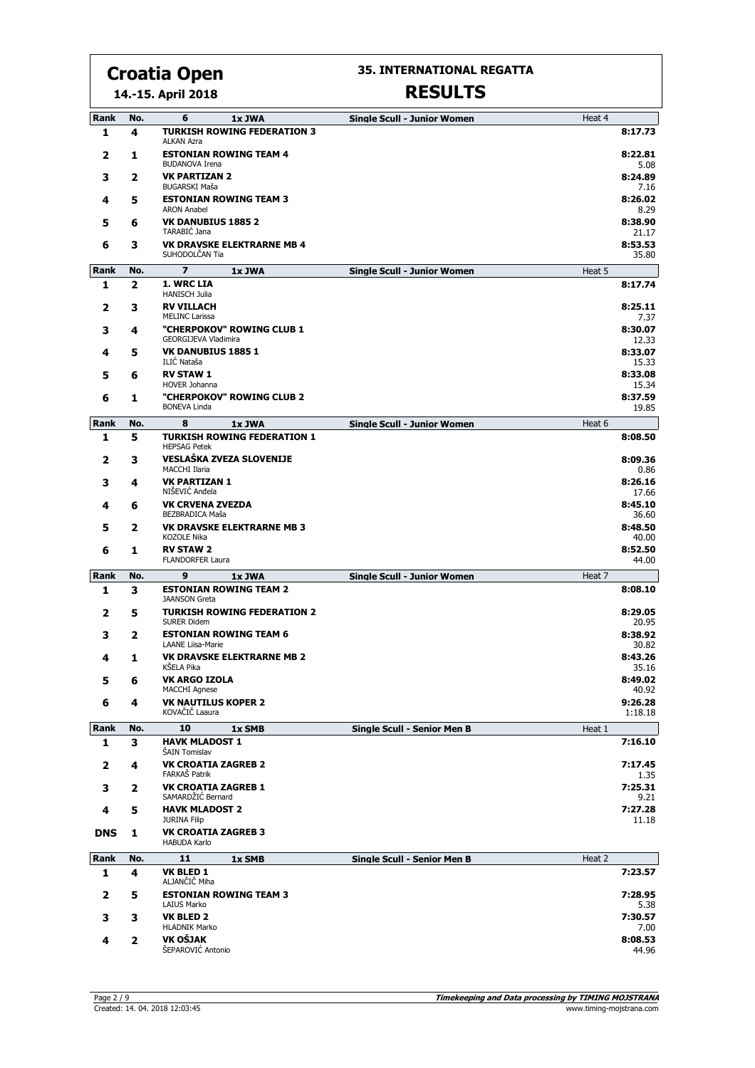**14.-15. April 2018**

#### **35. INTERNATIONAL REGATTA**

| Rank        | No.          | 6<br>1x JWA<br><b>TURKISH ROWING FEDERATION 3</b>         | <b>Single Scull - Junior Women</b> | Heat 4             |
|-------------|--------------|-----------------------------------------------------------|------------------------------------|--------------------|
| 1           | 4            | <b>ALKAN Azra</b>                                         |                                    | 8:17.73            |
| 2           | 1            | <b>ESTONIAN ROWING TEAM 4</b><br><b>BUDANOVA Irena</b>    |                                    | 8:22.81<br>5.08    |
| з           | 2            | <b>VK PARTIZAN 2</b><br><b>BUGARSKI Maša</b>              |                                    | 8:24.89            |
| 4           | 5            | <b>ESTONIAN ROWING TEAM 3</b>                             |                                    | 7.16<br>8:26.02    |
| 5           | 6            | <b>ARON Anabel</b><br><b>VK DANUBIUS 1885 2</b>           |                                    | 8.29<br>8:38.90    |
| 6           | 3            | TARABIĆ Jana<br><b>VK DRAVSKE ELEKTRARNE MB 4</b>         |                                    | 21.17<br>8:53.53   |
|             |              | SUHODOLČAN Tia<br>$\overline{z}$                          |                                    | 35.80              |
| Rank<br>1   | No.<br>2     | 1x JWA<br>1. WRC LIA                                      | <b>Single Scull - Junior Women</b> | Heat 5<br>8:17.74  |
|             |              | <b>HANISCH Julia</b>                                      |                                    |                    |
| 2           | з            | <b>RV VILLACH</b><br><b>MELINC Larissa</b>                |                                    | 8:25.11<br>7.37    |
| 3           | 4            | "CHERPOKOV" ROWING CLUB 1<br><b>GEORGIJEVA Vladimira</b>  |                                    | 8:30.07<br>12.33   |
| 4           | 5            | <b>VK DANUBIUS 1885 1</b><br>ILIĆ Nataša                  |                                    | 8:33.07<br>15.33   |
| 5           | 6            | <b>RV STAW 1</b>                                          |                                    | 8:33.08            |
|             |              | HOVER Johanna                                             |                                    | 15.34              |
| 6           | 1            | "CHERPOKOV" ROWING CLUB 2<br><b>BONEVA Linda</b>          |                                    | 8:37.59<br>19.85   |
| Rank        | No.          | 8<br>1x JWA                                               | <b>Single Scull - Junior Women</b> | Heat 6             |
| 1           | 5            | <b>TURKISH ROWING FEDERATION 1</b><br><b>HEPSAG Petek</b> |                                    | 8:08.50            |
| 2           | 3            | VESLAŠKA ZVEZA SLOVENIJE<br><b>MACCHI Ilaria</b>          |                                    | 8:09.36<br>0.86    |
| 3           | 4            | <b>VK PARTIZAN 1</b><br>NIŠEVIĆ Anđela                    |                                    | 8:26.16<br>17.66   |
| 4           | 6            | <b>VK CRVENA ZVEZDA</b><br>BEZBRADICA Maša                |                                    | 8:45.10<br>36.60   |
| 5           | 2            | <b>VK DRAVSKE ELEKTRARNE MB 3</b>                         |                                    | 8:48.50            |
| 6           | 1            | KOZOLE Nika<br><b>RV STAW 2</b>                           |                                    | 40.00<br>8:52.50   |
|             |              | <b>FLANDORFER Laura</b>                                   |                                    | 44.00              |
| Rank        | No.          | 9<br>1x JWA                                               | <b>Single Scull - Junior Women</b> | Heat 7             |
| 1           | 3            | <b>ESTONIAN ROWING TEAM 2</b><br><b>JAANSON Greta</b>     |                                    | 8:08.10            |
| 2           | 5            | <b>TURKISH ROWING FEDERATION 2</b><br><b>SURER Didem</b>  |                                    | 8:29.05<br>20.95   |
| з           | 2            | <b>ESTONIAN ROWING TEAM 6</b><br><b>LAANE Liisa-Marie</b> |                                    | 8:38.92<br>30.82   |
| 4           | 1            | <b>VK DRAVSKE ELEKTRARNE MB 2</b><br>KŠELA Pika           |                                    | 8:43.26<br>35.16   |
| 5           | 6            | <b>VK ARGO IZOLA</b><br><b>MACCHI Agnese</b>              |                                    | 8:49.02<br>40.92   |
| 6           | 4            | <b>VK NAUTILUS KOPER 2</b><br>KOVAČIČ Laaura              |                                    | 9:26.28<br>1:18.18 |
| <b>Rank</b> | No.          | 10<br>1x SMB                                              | <b>Single Scull - Senior Men B</b> | Heat 1             |
| 1           | 3            | <b>HAVK MLADOST 1</b><br>ŠAIN Tomislav                    |                                    | 7:16.10            |
| 2           | 4            | <b>VK CROATIA ZAGREB 2</b><br>FARKAŠ Patrik               |                                    | 7:17.45            |
| 3           | 2            | <b>VK CROATIA ZAGREB 1</b>                                |                                    | 1.35<br>7:25.31    |
| 4           | 5            | SAMARDŽIĆ Bernard<br><b>HAVK MLADOST 2</b>                |                                    | 9.21<br>7:27.28    |
|             |              | <b>JURINA Filip</b><br><b>VK CROATIA ZAGREB 3</b>         |                                    | 11.18              |
| <b>DNS</b>  | 1            | <b>HABUDA Karlo</b>                                       |                                    |                    |
| Rank        | No.          | 11<br>1x SMB                                              | <b>Single Scull - Senior Men B</b> | Heat 2             |
| 1           | 4            | <b>VK BLED 1</b><br>ALJANČIČ Miha                         |                                    | 7:23.57            |
| 2           | 5            | <b>ESTONIAN ROWING TEAM 3</b><br>LAIUS Marko              |                                    | 7:28.95<br>5.38    |
| з           | з            | <b>VK BLED 2</b>                                          |                                    | 7:30.57            |
| 4           | $\mathbf{2}$ | <b>HLADNIK Marko</b><br>VK OŠJAK                          |                                    | 7.00<br>8:08.53    |
|             |              | ŠEPAROVIĆ Antonio                                         |                                    | 44.96              |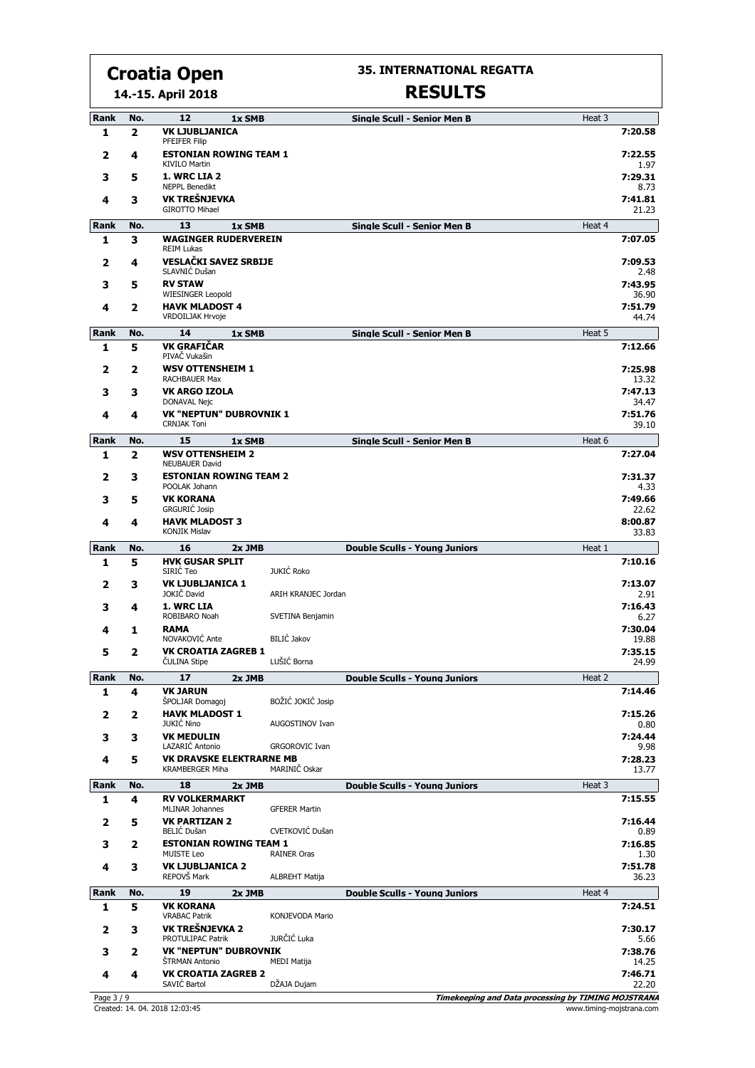**14.-15. April 2018**

#### **35. INTERNATIONAL REGATTA**

### **RESULTS**

| Rank             | No.          | 12<br>1x SMB                                          |                        | <b>Single Scull - Senior Men B</b>   | Heat 3 |                  |
|------------------|--------------|-------------------------------------------------------|------------------------|--------------------------------------|--------|------------------|
| 1                | $\mathbf{z}$ | <b>VK LJUBLJANICA</b><br>PFEIFER Filip                |                        |                                      |        | 7:20.58          |
| 2                | 4            | <b>ESTONIAN ROWING TEAM 1</b><br><b>KIVILO Martin</b> |                        |                                      |        | 7:22.55<br>1.97  |
| 3                | 5            | 1. WRC LIA 2                                          |                        |                                      |        | 7:29.31          |
| 4                | З            | <b>NEPPL Benedikt</b><br>VK TREŠNJEVKA                |                        |                                      |        | 8.73<br>7:41.81  |
|                  |              | <b>GIROTTO Mihael</b>                                 |                        |                                      |        | 21.23            |
| <b>Rank</b><br>1 | No.<br>3     | 13<br>1x SMB<br><b>WAGINGER RUDERVEREIN</b>           |                        | <b>Single Scull - Senior Men B</b>   | Heat 4 | 7:07.05          |
|                  |              | <b>REIM Lukas</b>                                     |                        |                                      |        |                  |
| 2                | 4            | <b>VESLAČKI SAVEZ SRBIJE</b><br>SLAVNIĆ Dušan         |                        |                                      |        | 7:09.53<br>2.48  |
| 3                | 5            | <b>RV STAW</b><br><b>WIESINGER Leopold</b>            |                        |                                      |        | 7:43.95<br>36.90 |
| 4                | 2            | <b>HAVK MLADOST 4</b>                                 |                        |                                      |        | 7:51.79          |
|                  |              | <b>VRDOILJAK Hrvoje</b>                               |                        |                                      |        | 44.74            |
| Rank<br>1        | No.<br>5     | 14<br>1x SMB<br><b>VK GRAFIČAR</b>                    |                        | <b>Single Scull - Senior Men B</b>   | Heat 5 | 7:12.66          |
|                  |              | PIVAČ Vukašin                                         |                        |                                      |        |                  |
| 2                | 2            | <b>WSV OTTENSHEIM 1</b><br><b>RACHBAUER Max</b>       |                        |                                      |        | 7:25.98<br>13.32 |
| 3                | З            | VK ARGO IZOLA<br>DONAVAL Nejc                         |                        |                                      |        | 7:47.13<br>34.47 |
| 4                | 4            | <b>VK "NEPTUN" DUBROVNIK 1</b>                        |                        |                                      |        | 7:51.76          |
|                  |              | <b>CRNJAK Toni</b>                                    |                        |                                      |        | 39.10            |
| Rank<br>1        | No.<br>2     | 15<br>1x SMB<br><b>WSV OTTENSHEIM 2</b>               |                        | <b>Single Scull - Senior Men B</b>   | Heat 6 | 7:27.04          |
|                  |              | <b>NEUBAUER David</b>                                 |                        |                                      |        |                  |
| 2                | з            | <b>ESTONIAN ROWING TEAM 2</b><br>POOLAK Johann        |                        |                                      |        | 7:31.37<br>4.33  |
| 3                | 5            | <b>VK KORANA</b><br><b>GRGURIC Josip</b>              |                        |                                      |        | 7:49.66<br>22.62 |
| 4                | 4            | <b>HAVK MLADOST 3</b>                                 |                        |                                      |        | 8:00.87          |
|                  |              | <b>KONJIK Mislav</b>                                  |                        |                                      |        | 33.83            |
| Rank<br>1        | No.<br>5     | 16<br>2x JMB<br><b>HVK GUSAR SPLIT</b>                |                        | <b>Double Sculls - Young Juniors</b> | Heat 1 | 7:10.16          |
|                  |              | SIRIĆ Teo                                             | <b>JUKIĆ Roko</b>      |                                      |        |                  |
| 2                | З            | <b>VK LJUBLJANICA 1</b><br>JOKIČ David                | ARIH KRANJEC Jordan    |                                      |        | 7:13.07<br>2.91  |
| з                | 4            | 1. WRC LIA<br>ROBIBARO Noah                           | SVETINA Benjamin       |                                      |        | 7:16.43<br>6.27  |
| 4                | 1            | <b>RAMA</b>                                           |                        |                                      |        | 7:30.04          |
| 5                | 2            | NOVAKOVIĆ Ante<br><b>VK CROATIA ZAGREB 1</b>          | BILIĆ Jakov            |                                      |        | 19.88<br>7:35.15 |
|                  |              | <b>CULINA Stipe</b>                                   | LUŠIĆ Borna            |                                      |        | 24.99            |
| <b>Rank</b>      | No.          | 17<br>2x JMB                                          |                        | <b>Double Sculls - Young Juniors</b> | Heat 2 |                  |
| 1                | 4            | <b>VK JARUN</b><br>ŠPOLJAR Domagoj                    | BOŽIĆ JOKIĆ Josip      |                                      |        | 7:14.46          |
| 2                | 2            | <b>HAVK MLADOST 1</b><br><b>JUKIĆ Nino</b>            | AUGOSTINOV Ivan        |                                      |        | 7:15.26<br>0.80  |
| з                | з            | <b>VK MEDULIN</b>                                     |                        |                                      |        | 7:24.44          |
| 4                | 5            | LAZARIĆ Antonio<br><b>VK DRAVSKE ELEKTRARNE MB</b>    | <b>GRGOROVIC Ivan</b>  |                                      |        | 9.98<br>7:28.23  |
|                  |              | <b>KRAMBERGER Miha</b>                                | MARINIČ Oskar          |                                      |        | 13.77            |
| Rank             | No.<br>4     | 18<br>2x JMB<br><b>RV VOLKERMARKT</b>                 |                        | <b>Double Sculls - Young Juniors</b> | Heat 3 | 7:15.55          |
| 1                |              | <b>MLINAR Johannes</b>                                | <b>GFERER Martin</b>   |                                      |        |                  |
| 2                | 5            | <b>VK PARTIZAN 2</b><br><b>BELIĆ Dušan</b>            | CVETKOVIĆ Dušan        |                                      |        | 7:16.44<br>0.89  |
| 3                | 2            | <b>ESTONIAN ROWING TEAM 1</b><br><b>MUISTE Leo</b>    | <b>RAINER Oras</b>     |                                      |        | 7:16.85<br>1.30  |
| 4                | з            | <b>VK LJUBLJANICA 2</b>                               |                        |                                      |        | 7:51.78          |
|                  |              | REPOVŠ Mark                                           | ALBREHT Matija         |                                      |        | 36.23            |
| Rank<br>1        | No.<br>5     | 19<br>2x JMB<br><b>VK KORANA</b>                      |                        | <b>Double Sculls - Young Juniors</b> | Heat 4 | 7:24.51          |
|                  |              | <b>VRABAC Patrik</b>                                  | <b>KONJEVODA Mario</b> |                                      |        |                  |
| 2                | з            | VK TREŠNJEVKA 2<br>PROTULIPAC Patrik                  | JURČIĆ Luka            |                                      |        | 7:30.17<br>5.66  |
| 3                | 2            | <b>VK "NEPTUN" DUBROVNIK</b><br>ŠTRMAN Antonio        | <b>MEDI Matija</b>     |                                      |        | 7:38.76          |
| 4                |              |                                                       |                        |                                      |        | 14.25            |
|                  | 4            | <b>VK CROATIA ZAGREB 2</b><br>SAVIĆ Bartol            | DŽAJA Dujam            |                                      |        | 7:46.71<br>22.20 |

<u>Created: 14.04. 2018 12:03:45</u><br>Created: 14.04. 2018 12:03:45 www.timing-mojstrana.com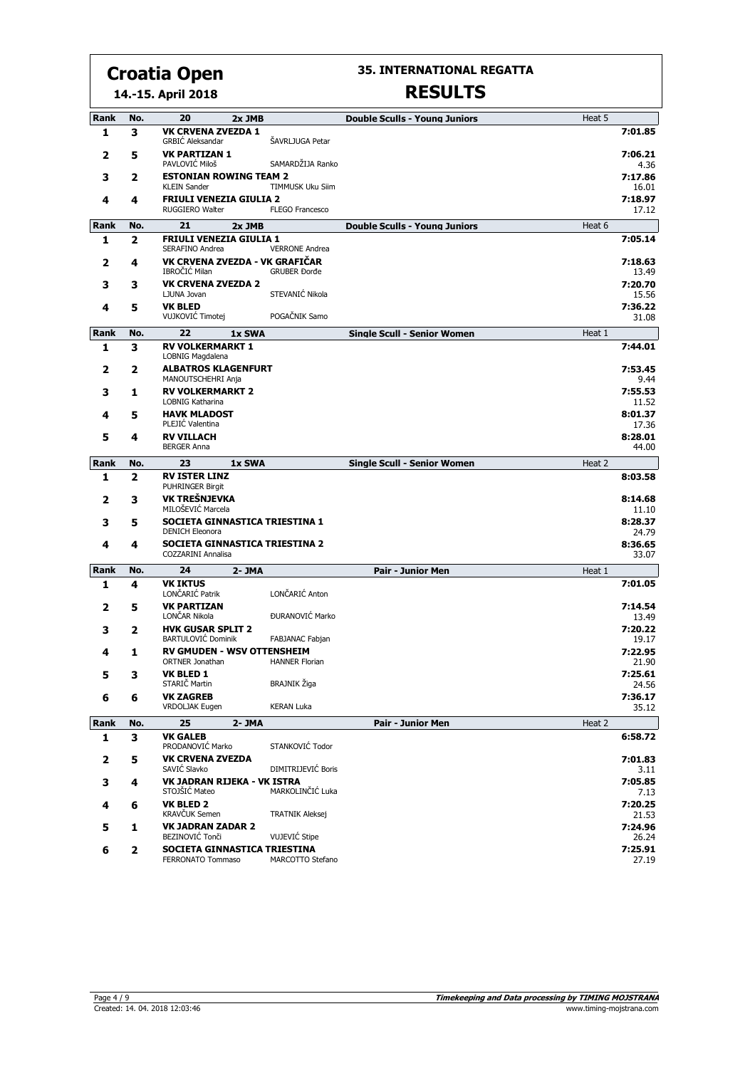**35. INTERNATIONAL REGATTA**

#### **14.-15. April 2018**

| Rank        | No.            | 20<br>2x JMB                                                       |                                              | <b>Double Sculls - Young Juniors</b> | Heat 5 |                  |
|-------------|----------------|--------------------------------------------------------------------|----------------------------------------------|--------------------------------------|--------|------------------|
| 1           | 3              | <b>VK CRVENA ZVEZDA 1</b><br><b>GRBIĆ Aleksandar</b>               | ŠAVRLJUGA Petar                              |                                      |        | 7:01.85          |
| 2           | 5              | <b>VK PARTIZAN 1</b><br>PAVLOVIĆ Miloš                             | SAMARDŽIJA Ranko                             |                                      |        | 7:06.21<br>4.36  |
| 3           | 2              | <b>ESTONIAN ROWING TEAM 2</b><br><b>KLEIN Sander</b>               | <b>TIMMUSK Uku Siim</b>                      |                                      |        | 7:17.86<br>16.01 |
| 4           | 4              | <b>FRIULI VENEZIA GIULIA 2</b><br>RUGGIERO Walter                  | <b>FLEGO Francesco</b>                       |                                      |        | 7:18.97<br>17.12 |
| <b>Rank</b> | No.            | 21<br>2x JMB                                                       |                                              | <b>Double Sculls - Young Juniors</b> | Heat 6 |                  |
| 1           | $\overline{2}$ | FRIULI VENEZIA GIULIA 1                                            |                                              |                                      |        | 7:05.14          |
| 2           | 4              | SERAFINO Andrea<br>VK CRVENA ZVEZDA - VK GRAFIČAR<br>IBROČIĆ Milan | <b>VERRONE Andrea</b><br><b>GRUBER Đorđe</b> |                                      |        | 7:18.63<br>13.49 |
| 3           | 3              | <b>VK CRVENA ZVEZDA 2</b>                                          |                                              |                                      |        | 7:20.70          |
|             |                | LJUNA Jovan                                                        | STEVANIĆ Nikola                              |                                      |        | 15.56            |
| 4           | 5              | <b>VK BLED</b><br>VUJKOVIĆ Timotej                                 | POGAČNIK Samo                                |                                      |        | 7:36.22<br>31.08 |
| Rank        | No.            | 22<br>1x SWA                                                       |                                              | <b>Single Scull - Senior Women</b>   | Heat 1 |                  |
| 1           | 3              | <b>RV VOLKERMARKT 1</b><br>LOBNIG Magdalena                        |                                              |                                      |        | 7:44.01          |
| 2           | 2              | <b>ALBATROS KLAGENFURT</b><br>MANOUTSCHEHRI Anja                   |                                              |                                      |        | 7:53.45<br>9.44  |
| з           | 1              | <b>RV VOLKERMARKT 2</b>                                            |                                              |                                      |        | 7:55.53          |
| 4           | 5              | LOBNIG Katharina<br><b>HAVK MLADOST</b>                            |                                              |                                      |        | 11.52<br>8:01.37 |
|             |                | PLEJIC Valentina                                                   |                                              |                                      |        | 17.36            |
| 5           | 4              | <b>RV VILLACH</b><br><b>BERGER Anna</b>                            |                                              |                                      |        | 8:28.01<br>44.00 |
| Rank        | No.            | 23<br>1x SWA                                                       |                                              | <b>Single Scull - Senior Women</b>   | Heat 2 |                  |
| 1           | 2              | <b>RV ISTER LINZ</b><br>PUHRINGER Birgit                           |                                              |                                      |        | 8:03.58          |
| 2           | 3              | VK TREŠNJEVKA<br>MILOŠEVIĆ Marcela                                 |                                              |                                      |        | 8:14.68<br>11.10 |
| 3           | 5              | SOCIETA GINNASTICA TRIESTINA 1<br><b>DENICH Eleonora</b>           |                                              |                                      |        | 8:28.37<br>24.79 |
| 4           | 4              | SOCIETA GINNASTICA TRIESTINA 2<br><b>COZZARINI Annalisa</b>        |                                              |                                      |        | 8:36.65<br>33.07 |
| Rank        | No.            | 24<br>2- JMA                                                       |                                              | <b>Pair - Junior Men</b>             | Heat 1 |                  |
| 1           | 4              | <b>VK IKTUS</b><br>LONČARIĆ Patrik                                 | LONČARIĆ Anton                               |                                      |        | 7:01.05          |
| 2           | 5              | <b>VK PARTIZAN</b><br>LONČAR Nikola                                | ĐURANOVIĆ Marko                              |                                      |        | 7:14.54<br>13.49 |
| 3           | 2              | <b>HVK GUSAR SPLIT 2</b>                                           |                                              |                                      |        | 7:20.22          |
| 4           | 1              | <b>BARTULOVIĆ Dominik</b><br><b>RV GMUDEN - WSV OTTENSHEIM</b>     | FABJANAC Fabjan                              |                                      |        | 19.17<br>7:22.95 |
|             |                | <b>ORTNER Jonathan</b>                                             | <b>HANNER Florian</b>                        |                                      |        | 21.90            |
| 5           | 3              | VK BLED 1<br>STARIČ Martin                                         | BRAJNIK Žiga                                 |                                      |        | 7:25.61<br>24.56 |
| 6           | 6              | <b>VK ZAGREB</b><br>VRDOLJAK Eugen                                 | <b>KERAN Luka</b>                            |                                      |        | 7:36.17<br>35.12 |
| Rank        | No.            | 25<br>$2 - JMA$                                                    |                                              | <b>Pair - Junior Men</b>             | Heat 2 |                  |
| 1           | 3              | <b>VK GALEB</b><br>PRODANOVIĆ Marko                                | STANKOVIĆ Todor                              |                                      |        | 6:58.72          |
| 2           | 5              | <b>VK CRVENA ZVEZDA</b><br>SAVIĆ Slavko                            | DIMITRIJEVIĆ Boris                           |                                      |        | 7:01.83<br>3.11  |
| 3           | 4              | VK JADRAN RIJEKA - VK ISTRA                                        |                                              |                                      |        | 7:05.85          |
|             |                | STOJŠIĆ Mateo                                                      | MARKOLINČIĆ Luka                             |                                      |        | 7.13             |
| 4           | 6              | <b>VK BLED 2</b><br>KRAVČUK Semen                                  | <b>TRATNIK Aleksej</b>                       |                                      |        | 7:20.25<br>21.53 |
| 5           | 1              | <b>VK JADRAN ZADAR 2</b>                                           |                                              |                                      |        | 7:24.96          |
|             |                | BEZINOVIĆ Tonči                                                    | VUJEVIĆ Stipe                                |                                      |        | 26.24            |
| 6           | $\mathbf{2}$   | SOCIETA GINNASTICA TRIESTINA<br>FERRONATO Tommaso                  | MARCOTTO Stefano                             |                                      |        | 7:25.91<br>27.19 |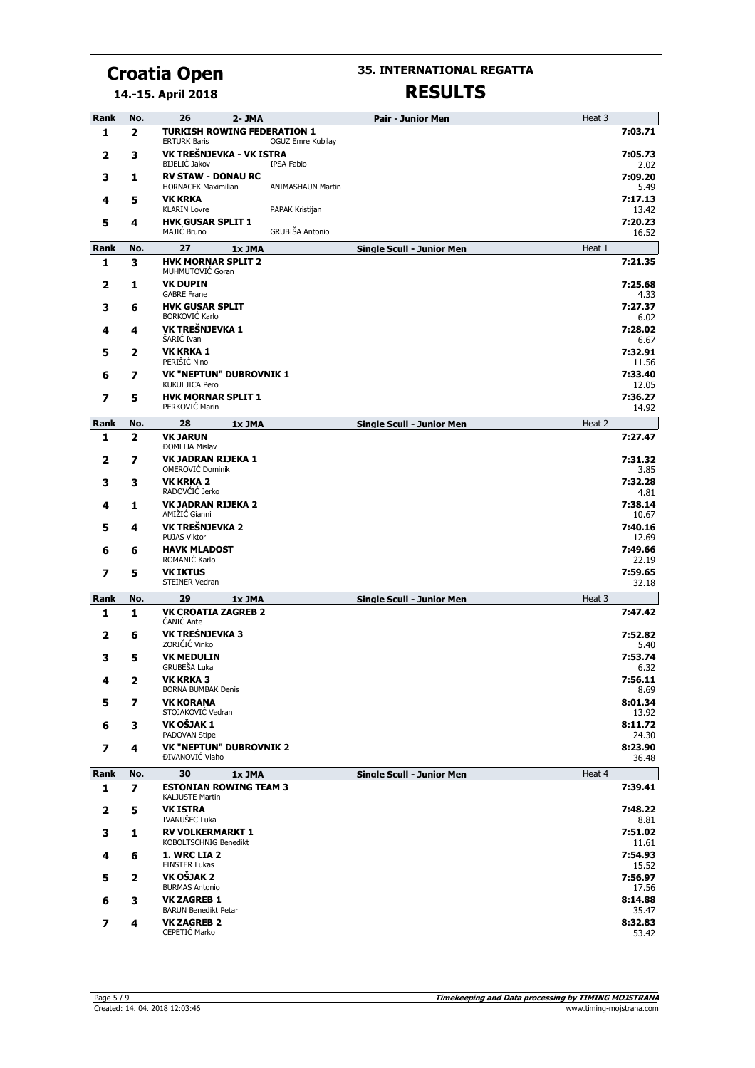**35. INTERNATIONAL REGATTA**

#### **14.-15. April 2018**

|  | <b>RESULTS</b> |  |  |  |
|--|----------------|--|--|--|

| Rank | No.                      | 26<br>2- JMA                                              | <b>Pair - Junior Men</b>                            | Heat 3 |                  |
|------|--------------------------|-----------------------------------------------------------|-----------------------------------------------------|--------|------------------|
| 1    | $\overline{2}$           | <b>TURKISH ROWING FEDERATION 1</b><br><b>ERTURK Baris</b> | <b>OGUZ Emre Kubilay</b>                            |        | 7:03.71          |
| 2    | 3                        | VK TREŠNJEVKA - VK ISTRA<br><b>BIJELIĆ Jakov</b>          | <b>IPSA Fabio</b>                                   |        | 7:05.73<br>2.02  |
| 3    | 1                        | <b>RV STAW - DONAU RC</b><br><b>HORNACEK Maximilian</b>   | <b>ANIMASHAUN Martin</b>                            |        | 7:09.20<br>5.49  |
| 4    | 5                        | <b>VK KRKA</b><br><b>KLARIN Lovre</b>                     | PAPAK Kristijan                                     |        | 7:17.13<br>13.42 |
| 5    | 4                        | <b>HVK GUSAR SPLIT 1</b>                                  |                                                     |        | 7:20.23          |
| Rank | No.                      | MAJIĆ Bruno<br>27                                         | GRUBIŠA Antonio<br><b>Single Scull - Junior Men</b> | Heat 1 | 16.52            |
| 1    | 3                        | 1x JMA<br><b>HVK MORNAR SPLIT 2</b>                       |                                                     |        | 7:21.35          |
| 2    | 1                        | MUHMUTOVIĆ Goran<br><b>VK DUPIN</b>                       |                                                     |        | 7:25.68          |
|      |                          | <b>GABRE Frane</b>                                        |                                                     |        | 4.33             |
| 3    | 6                        | <b>HVK GUSAR SPLIT</b><br><b>BORKOVIĆ Karlo</b>           |                                                     |        | 7:27.37<br>6.02  |
| 4    | 4                        | VK TREŠNJEVKA 1<br>ŠARIĆ Ivan                             |                                                     |        | 7:28.02<br>6.67  |
| 5    | $\mathbf{2}$             | <b>VK KRKA 1</b><br>PERIŠIĆ Nino                          |                                                     |        | 7:32.91<br>11.56 |
| 6    | 7                        | <b>VK "NEPTUN" DUBROVNIK 1</b><br>KUKULJICA Pero          |                                                     |        | 7:33.40<br>12.05 |
| 7    | 5                        | <b>HVK MORNAR SPLIT 1</b><br>PERKOVIĆ Marin               |                                                     |        | 7:36.27<br>14.92 |
| Rank | No.                      | 28<br>1x JMA                                              | <b>Single Scull - Junior Men</b>                    | Heat 2 |                  |
| 1    | $\overline{\mathbf{2}}$  | <b>VK JARUN</b>                                           |                                                     |        | 7:27.47          |
| 2    | 7                        | <b>ĐOMLIJA Mislav</b><br>VK JADRAN RIJEKA 1               |                                                     |        | 7:31.32          |
| 3    | 3                        | OMEROVIĆ Dominik<br><b>VK KRKA 2</b>                      |                                                     |        | 3.85<br>7:32.28  |
|      |                          | RADOVČIĆ Jerko                                            |                                                     |        | 4.81             |
| 4    | 1                        | <b>VK JADRAN RIJEKA 2</b><br>AMIŽIĆ Gianni                |                                                     |        | 7:38.14<br>10.67 |
| 5    | 4                        | VK TREŠNJEVKA 2<br><b>PUJAS Viktor</b>                    |                                                     |        | 7:40.16<br>12.69 |
| 6    | 6                        | <b>HAVK MLADOST</b><br>ROMANIĆ Karlo                      |                                                     |        | 7:49.66<br>22.19 |
| 7    | 5                        | <b>VK IKTUS</b><br><b>STEINER Vedran</b>                  |                                                     |        | 7:59.65<br>32.18 |
| Rank | No.                      | 29<br>1x JMA                                              | <b>Single Scull - Junior Men</b>                    | Heat 3 |                  |
| 1    | 1                        | <b>VK CROATIA ZAGREB 2</b><br><b>ČANIĆ Ante</b>           |                                                     |        | 7:47.42          |
| 2    | 6                        | VK TREŠNJEVKA 3<br>ZORIČIĆ Vinko                          |                                                     |        | 7:52.82<br>5.40  |
| 3    | 5                        | <b>VK MEDULIN</b>                                         |                                                     |        | 7:53.74          |
| 4    | $\mathbf{2}$             | GRUBEŠA Luka<br><b>VK KRKA 3</b>                          |                                                     |        | 6.32<br>7:56.11  |
| 5    | 7                        | <b>BORNA BUMBAK Denis</b><br><b>VK KORANA</b>             |                                                     |        | 8.69<br>8:01.34  |
|      |                          | STOJAKOVIĆ Vedran<br>VK OŠJAK 1                           |                                                     |        | 13.92<br>8:11.72 |
| 6    | 3                        | PADOVAN Stipe                                             |                                                     |        | 24.30            |
| 7    | 4                        | <b>VK "NEPTUN" DUBROVNIK 2</b><br>ĐIVANOVIĆ Vlaho         |                                                     |        | 8:23.90<br>36.48 |
| Rank | No.                      | 30<br>1x JMA                                              | <b>Single Scull - Junior Men</b>                    | Heat 4 |                  |
| 1    | $\overline{\phantom{a}}$ | <b>ESTONIAN ROWING TEAM 3</b><br><b>KALJUSTE Martin</b>   |                                                     |        | 7:39.41          |
| 2    | 5                        | <b>VK ISTRA</b><br><b>IVANUŠEC Luka</b>                   |                                                     |        | 7:48.22<br>8.81  |
| з    | 1                        | <b>RV VOLKERMARKT 1</b>                                   |                                                     |        | 7:51.02          |
| 4    | 6                        | KOBOLTSCHNIG Benedikt<br>1. WRC LIA 2                     |                                                     |        | 11.61<br>7:54.93 |
| 5    | $\mathbf{2}$             | <b>FINSTER Lukas</b><br>VK OŠJAK 2                        |                                                     |        | 15.52<br>7:56.97 |
|      |                          | <b>BURMAS Antonio</b><br><b>VK ZAGREB 1</b>               |                                                     |        | 17.56<br>8:14.88 |
| 6    | з                        | <b>BARUN Benedikt Petar</b>                               |                                                     |        | 35.47            |
| 7    | 4                        | <b>VK ZAGREB 2</b><br>CEPETIĆ Marko                       |                                                     |        | 8:32.83<br>53.42 |
|      |                          |                                                           |                                                     |        |                  |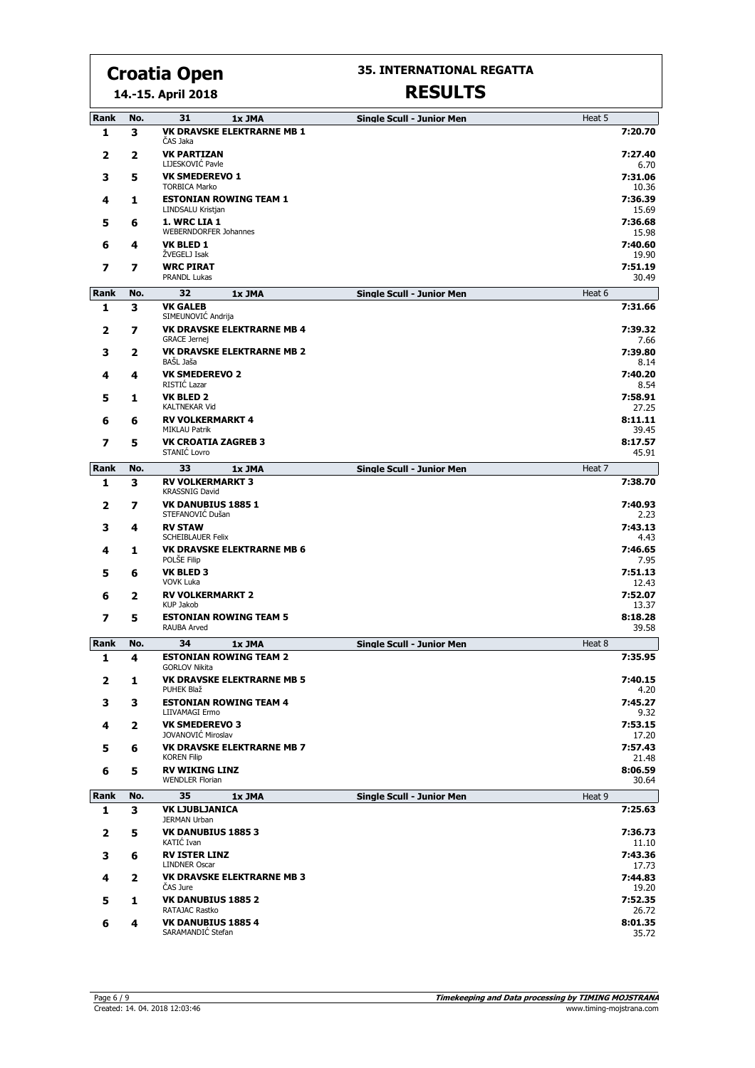**14.-15. April 2018**

#### **35. INTERNATIONAL REGATTA**

| Rank         | No. | 31<br>1x JMA                                              | <b>Single Scull - Junior Men</b> | Heat 5           |
|--------------|-----|-----------------------------------------------------------|----------------------------------|------------------|
| 1            | 3   | <b>VK DRAVSKE ELEKTRARNE MB 1</b><br>ČAS Jaka             |                                  | 7:20.70          |
| 2            | 2   | <b>VK PARTIZAN</b><br>LIJESKOVIĆ Pavle                    |                                  | 7:27.40<br>6.70  |
| з            | 5   | <b>VK SMEDEREVO 1</b><br><b>TORBICA Marko</b>             |                                  | 7:31.06<br>10.36 |
| 4            | 1   | <b>ESTONIAN ROWING TEAM 1</b>                             |                                  | 7:36.39          |
| 5            | 6   | LINDSALU Kristjan<br>1. WRC LIA 1                         |                                  | 15.69<br>7:36.68 |
|              |     | <b>WEBERNDORFER Johannes</b>                              |                                  | 15.98            |
| 6            | 4   | <b>VK BLED 1</b><br>ŻVEGELJ Isak                          |                                  | 7:40.60<br>19.90 |
| 7            | 7   | <b>WRC PIRAT</b><br>PRANDL Lukas                          |                                  | 7:51.19<br>30.49 |
| Rank         | No. | 32<br>1x JMA                                              | <b>Single Scull - Junior Men</b> | Heat 6           |
| 1            | 3   | <b>VK GALEB</b><br>SIMEUNOVIĆ Andrija                     |                                  | 7:31.66          |
| 2            | 7   | <b>VK DRAVSKE ELEKTRARNE MB 4</b>                         |                                  | 7:39.32          |
| з            | 2   | <b>GRACE Jernej</b><br><b>VK DRAVSKE ELEKTRARNE MB 2</b>  |                                  | 7.66<br>7:39.80  |
|              |     | BAŠL Jaša                                                 |                                  | 8.14             |
| 4            | 4   | <b>VK SMEDEREVO 2</b><br>RISTIĆ Lazar                     |                                  | 7:40.20<br>8.54  |
| 5            | 1   | <b>VK BLED 2</b><br><b>KALTNEKAR Vid</b>                  |                                  | 7:58.91<br>27.25 |
| 6            | 6   | <b>RV VOLKERMARKT 4</b>                                   |                                  | 8:11.11          |
|              |     | <b>MIKLAU Patrik</b>                                      |                                  | 39.45            |
| 7            | 5   | <b>VK CROATIA ZAGREB 3</b><br>STANIĆ Lovro                |                                  | 8:17.57<br>45.91 |
| Rank         | No. | 33<br>1x JMA                                              | <b>Single Scull - Junior Men</b> | Heat 7           |
| 1            | 3   | <b>RV VOLKERMARKT 3</b><br><b>KRASSNIG David</b>          |                                  | 7:38.70          |
| 2            | 7   | <b>VK DANUBIUS 1885 1</b><br>STEFANOVIĆ Dušan             |                                  | 7:40.93<br>2.23  |
| з            | 4   | <b>RV STAW</b><br><b>SCHEIBLAUER Felix</b>                |                                  | 7:43.13<br>4.43  |
| 4            | 1   | <b>VK DRAVSKE ELEKTRARNE MB 6</b>                         |                                  | 7:46.65          |
| 5            | 6   | POLSE Filip<br><b>VK BLED 3</b>                           |                                  | 7.95<br>7:51.13  |
|              |     | <b>VOVK Luka</b>                                          |                                  | 12.43            |
| 6            | 2   | <b>RV VOLKERMARKT 2</b><br>KUP Jakob                      |                                  | 7:52.07<br>13.37 |
| 7            | 5   | <b>ESTONIAN ROWING TEAM 5</b><br>RAUBA Arved              |                                  | 8:18.28<br>39.58 |
| Rank         | No. | 34<br>1x JMA                                              | <b>Single Scull - Junior Men</b> | Heat 8           |
| 1            | 4   | <b>ESTONIAN ROWING TEAM 2</b><br><b>GORLOV Nikita</b>     |                                  | 7:35.95          |
| $\mathbf{z}$ | 1   | <b>VK DRAVSKE ELEKTRARNE MB 5</b><br>PUHEK Blaž           |                                  | 7:40.15<br>4.20  |
| 3            | 3   | <b>ESTONIAN ROWING TEAM 4</b>                             |                                  | 7:45.27          |
| 4            | 2   | LIIVAMAGI Ermo<br><b>VK SMEDEREVO 3</b>                   |                                  | 9.32<br>7:53.15  |
| 5            | 6   | JOVANOVIĆ Miroslav<br><b>VK DRAVSKE ELEKTRARNE MB 7</b>   |                                  | 17.20<br>7:57.43 |
|              | 5   | <b>KOREN Filip</b><br><b>RV WIKING LINZ</b>               |                                  | 21.48<br>8:06.59 |
| 6            |     | <b>WENDLER Florian</b>                                    |                                  | 30.64            |
| Rank         | No. | 35<br>1x JMA                                              | <b>Single Scull - Junior Men</b> | Heat 9           |
| 1            | 3   | <b>VK LJUBLJANICA</b><br><b>JERMAN Urban</b>              |                                  | 7:25.63          |
| $\mathbf{z}$ | 5   | <b>VK DANUBIUS 1885 3</b><br>KATIĆ Ivan                   |                                  | 7:36.73<br>11.10 |
| 3            | 6   | <b>RV ISTER LINZ</b>                                      |                                  | 7:43.36          |
| 4            | 2   | <b>LINDNER Oscar</b><br><b>VK DRAVSKE ELEKTRARNE MB 3</b> |                                  | 17.73<br>7:44.83 |
| 5            | 1   | CAS Jure<br><b>VK DANUBIUS 1885 2</b>                     |                                  | 19.20<br>7:52.35 |
|              |     | RATAJAC Rastko                                            |                                  | 26.72            |
| 6            | 4   | <b>VK DANUBIUS 1885 4</b><br>SARAMANDIĆ Stefan            |                                  | 8:01.35<br>35.72 |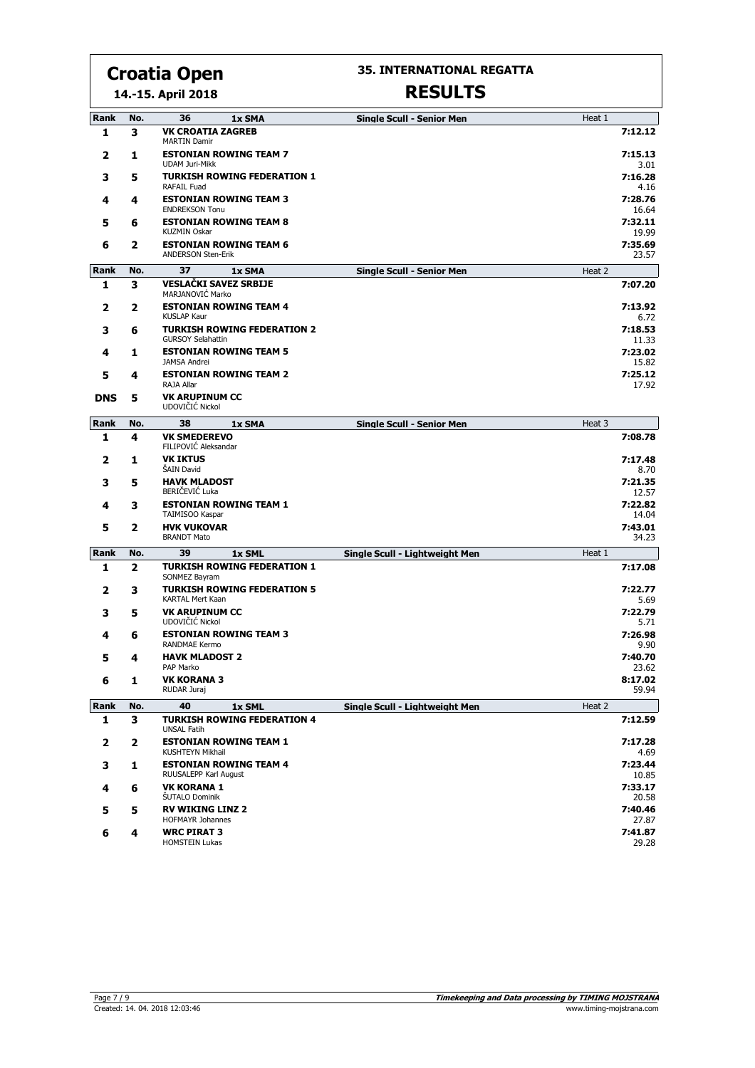**14.-15. April 2018**

#### **35. INTERNATIONAL REGATTA**

| Rank        | No. | 36<br>1x SMA                                                   | <b>Single Scull - Senior Men</b> | Heat 1           |
|-------------|-----|----------------------------------------------------------------|----------------------------------|------------------|
| 1           | з   | <b>VK CROATIA ZAGREB</b><br><b>MARTIN Damir</b>                |                                  | 7:12.12          |
| 2           | 1   | <b>ESTONIAN ROWING TEAM 7</b><br><b>UDAM Juri-Mikk</b>         |                                  | 7:15.13<br>3.01  |
| 3           | 5   | <b>TURKISH ROWING FEDERATION 1</b><br>RAFAIL Fuad              |                                  | 7:16.28<br>4.16  |
| 4           | 4   | <b>ESTONIAN ROWING TEAM 3</b><br><b>ENDREKSON Tonu</b>         |                                  | 7:28.76<br>16.64 |
| 5           | 6   | <b>ESTONIAN ROWING TEAM 8</b><br><b>KUZMIN Oskar</b>           |                                  | 7:32.11<br>19.99 |
| 6           | 2   | <b>ESTONIAN ROWING TEAM 6</b><br><b>ANDERSON Sten-Erik</b>     |                                  | 7:35.69<br>23.57 |
| Rank        | No. | 37<br>1x SMA                                                   | <b>Single Scull - Senior Men</b> | Heat 2           |
| 1           | з   | <b>VESLAČKI SAVEZ SRBIJE</b><br>MARJANOVIĆ Marko               |                                  | 7:07.20          |
| 2           | 2   | <b>ESTONIAN ROWING TEAM 4</b><br><b>KUSLAP Kaur</b>            |                                  | 7:13.92<br>6.72  |
| 3           | 6   | <b>TURKISH ROWING FEDERATION 2</b><br><b>GURSOY Selahattin</b> |                                  | 7:18.53<br>11.33 |
| 4           | 1   | <b>ESTONIAN ROWING TEAM 5</b><br><b>JAMSA Andrei</b>           |                                  | 7:23.02<br>15.82 |
| 5           | 4   | <b>ESTONIAN ROWING TEAM 2</b><br>RAJA Allar                    |                                  | 7:25.12<br>17.92 |
| <b>DNS</b>  | 5   | <b>VK ARUPINUM CC</b><br>UDOVIČIĆ Nickol                       |                                  |                  |
| Rank        | No. | 38<br>1x SMA                                                   | <b>Single Scull - Senior Men</b> | Heat 3           |
| 1           | 4   | <b>VK SMEDEREVO</b><br>FILIPOVIĆ Aleksandar                    |                                  | 7:08.78          |
| 2           | 1   | <b>VK IKTUS</b><br>ŠAIN David                                  |                                  | 7:17.48<br>8.70  |
| 3           | 5   | <b>HAVK MLADOST</b><br>BERIČEVIĆ Luka                          |                                  | 7:21.35<br>12.57 |
| 4           | з   | <b>ESTONIAN ROWING TEAM 1</b><br>TAIMISOO Kaspar               |                                  | 7:22.82<br>14.04 |
| 5           | 2   | <b>HVK VUKOVAR</b><br><b>BRANDT Mato</b>                       |                                  | 7:43.01<br>34.23 |
| Rank        | No. | 39<br>1x SML                                                   | Single Scull - Lightweight Men   | Heat 1           |
| 1           | 2   | <b>TURKISH ROWING FEDERATION 1</b><br>SONMEZ Bayram            |                                  | 7:17.08          |
| 2           | з   | <b>TURKISH ROWING FEDERATION 5</b><br><b>KARTAL Mert Kaan</b>  |                                  | 7:22.77<br>5.69  |
| з           | 5   | <b>VK ARUPINUM CC</b><br>UDOVIČIĆ Nickol                       |                                  | 7:22.79<br>5.71  |
| 4           | 6   | <b>ESTONIAN ROWING TEAM 3</b><br><b>RANDMAE Kermo</b>          |                                  | 7:26.98<br>9.90  |
| 5           | 4   | <b>HAVK MLADOST 2</b><br>PAP Marko                             |                                  | 7:40.70<br>23.62 |
| 6           | 1   | VK KORANA 3<br>RUDAR Juraj                                     |                                  | 8:17.02<br>59.94 |
| <b>Rank</b> | No. | 40<br>1x SML                                                   | Single Scull - Lightweight Men   | Heat 2           |
| 1           | 3   | <b>TURKISH ROWING FEDERATION 4</b><br><b>UNSAL Fatih</b>       |                                  | 7:12.59          |
| 2           | 2   | <b>ESTONIAN ROWING TEAM 1</b><br>KUSHTEYN Mikhail              |                                  | 7:17.28<br>4.69  |
| з           | 1   | <b>ESTONIAN ROWING TEAM 4</b><br>RUUSALEPP Karl August         |                                  | 7:23.44<br>10.85 |
| 4           | 6   | <b>VK KORANA 1</b><br><b>ŠUTALO Dominik</b>                    |                                  | 7:33.17<br>20.58 |
| 5           | 5   | <b>RV WIKING LINZ 2</b><br><b>HOFMAYR Johannes</b>             |                                  | 7:40.46<br>27.87 |
| 6           | 4   | <b>WRC PIRAT 3</b><br><b>HOMSTEIN Lukas</b>                    |                                  | 7:41.87<br>29.28 |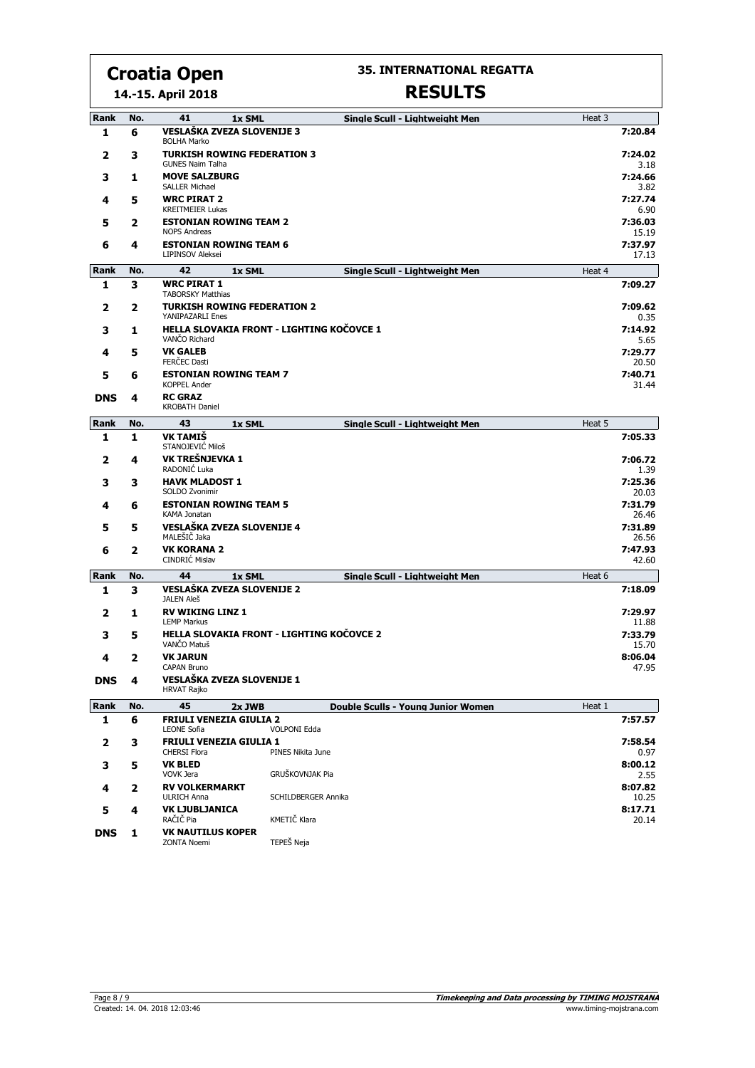**35. INTERNATIONAL REGATTA**

**14.-15. April 2018**

| Rank        | No. | 41<br>1x SML<br>Single Scull - Lightweight Men                                            | Heat 3           |  |
|-------------|-----|-------------------------------------------------------------------------------------------|------------------|--|
| 1           | 6   | VESLAŠKA ZVEZA SLOVENIJE 3<br><b>BOLHA Marko</b>                                          | 7:20.84          |  |
| 2           | 3   | <b>TURKISH ROWING FEDERATION 3</b><br><b>GUNES Naim Talha</b>                             | 7:24.02<br>3.18  |  |
| з           | 1   | <b>MOVE SALZBURG</b><br><b>SALLER Michael</b>                                             | 7:24.66<br>3.82  |  |
| 4           | 5   | <b>WRC PIRAT 2</b><br><b>KREITMEIER Lukas</b>                                             | 7:27.74<br>6.90  |  |
| 5           | 2   | <b>ESTONIAN ROWING TEAM 2</b><br><b>NOPS Andreas</b>                                      | 7:36.03<br>15.19 |  |
| 6           | 4   | <b>ESTONIAN ROWING TEAM 6</b><br><b>LIPINSOV Aleksei</b>                                  | 7:37.97<br>17.13 |  |
| Rank        | No. | 42<br>Single Scull - Lightweight Men<br>1x SML                                            | Heat 4           |  |
| 1           | 3   | <b>WRC PIRAT 1</b><br><b>TABORSKY Matthias</b>                                            | 7:09.27          |  |
| 2           | 2   | <b>TURKISH ROWING FEDERATION 2</b><br>YANIPAZARLI Enes                                    | 7:09.62<br>0.35  |  |
| 3           | 1   | HELLA SLOVAKIA FRONT - LIGHTING KOČOVCE 1<br>VANČO Richard                                | 7:14.92<br>5.65  |  |
| 4           | 5   | <b>VK GALEB</b><br><b>FERCEC Dasti</b>                                                    | 7:29.77<br>20.50 |  |
| 5           | 6   | <b>ESTONIAN ROWING TEAM 7</b><br><b>KOPPEL Ander</b>                                      | 7:40.71<br>31.44 |  |
| <b>DNS</b>  | 4   | <b>RC GRAZ</b><br><b>KROBATH Daniel</b>                                                   |                  |  |
| <b>Rank</b> | No. | 43<br>1x SML<br>Single Scull - Lightweight Men                                            | Heat 5           |  |
| 1           | 1   | <b>VK TAMIS</b><br>STANOJEVIĆ Miloš                                                       | 7:05.33          |  |
| 2           | 4   | VK TREŠNJEVKA 1<br>RADONIĆ Luka                                                           | 7:06.72<br>1.39  |  |
| 3           | 3   | <b>HAVK MLADOST 1</b><br>SOLDO Zvonimir                                                   | 7:25.36<br>20.03 |  |
| 4           | 6   | <b>ESTONIAN ROWING TEAM 5</b><br>KAMA Jonatan                                             | 7:31.79<br>26.46 |  |
| 5           | 5   | <b>VESLAŠKA ZVEZA SLOVENIJE 4</b><br>MALEŠIČ Jaka                                         | 7:31.89<br>26.56 |  |
| 6           | 2   | <b>VK KORANA 2</b><br>CINDRIĆ Mislav                                                      | 7:47.93<br>42.60 |  |
| Rank        | No. | 44<br>1x SML<br>Single Scull - Lightweight Men                                            | Heat 6           |  |
| 1           | 3   | <b>VESLAŠKA ZVEZA SLOVENIJE 2</b>                                                         | 7:18.09          |  |
| 2           | 1   | <b>JALEN Aleš</b><br><b>RV WIKING LINZ 1</b>                                              | 7:29.97          |  |
| 3           | 5   | <b>LEMP Markus</b><br>HELLA SLOVAKIA FRONT - LIGHTING KOČOVCE 2                           | 11.88<br>7:33.79 |  |
| 4           | 2   | VANČO Matuš<br><b>VK JARUN</b>                                                            | 15.70<br>8:06.04 |  |
| <b>DNS</b>  | 4   | <b>CAPAN Bruno</b><br>VESLAŠKA ZVEZA SLOVENIJE 1                                          | 47.95            |  |
|             |     | <b>HRVAT Rajko</b>                                                                        |                  |  |
| Rank        | No. | 45<br><b>Double Sculls - Young Junior Women</b><br>2x JWB                                 | Heat 1           |  |
| 1           | 6   | <b>FRIULI VENEZIA GIULIA 2</b><br><b>VOLPONI Edda</b><br><b>LEONE Sofia</b>               | 7:57.57          |  |
| 2           | з   | <b>FRIULI VENEZIA GIULIA 1</b><br>PINES Nikita June<br><b>CHERSI Flora</b>                | 7:58.54<br>0.97  |  |
| 3           | 5   | <b>VK BLED</b><br>GRUŠKOVNJAK Pia<br>VOVK Jera                                            | 8:00.12<br>2.55  |  |
| 4           | 2   | <b>RV VOLKERMARKT</b><br><b>ULRICH Anna</b><br>SCHILDBERGER Annika                        | 8:07.82<br>10.25 |  |
| 5           | 4   | <b>VK LJUBLJANICA</b>                                                                     | 8:17.71          |  |
| <b>DNS</b>  | 1   | KMETIČ Klara<br>RAČIČ Pia<br><b>VK NAUTILUS KOPER</b><br>TEPEŠ Neja<br><b>ZONTA Noemi</b> | 20.14            |  |